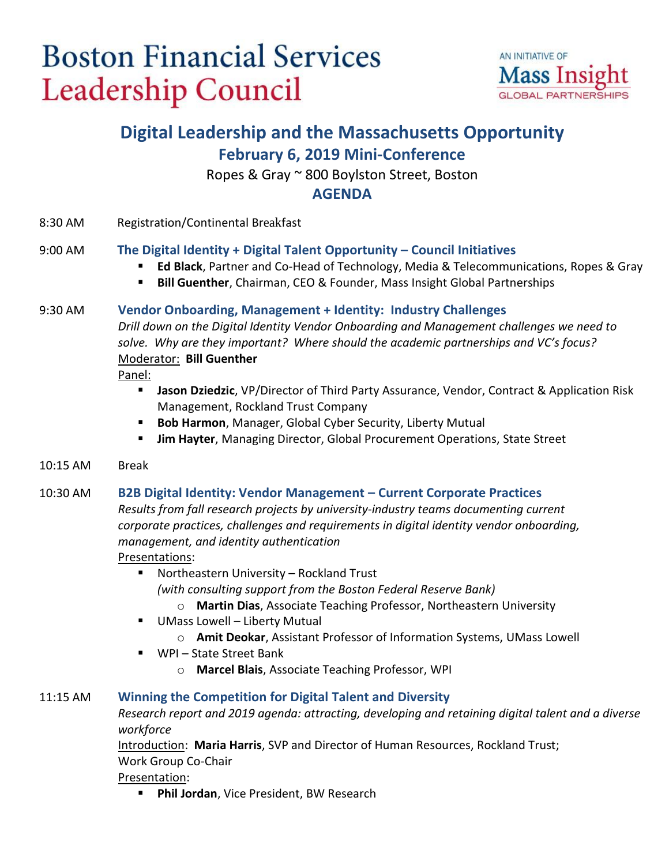# **Boston Financial Services Leadership Council**



## **Digital Leadership and the Massachusetts Opportunity February 6, 2019 Mini-Conference**

Ropes & Gray ~ 800 Boylston Street, Boston

#### **AGENDA**

8:30 AM Registration/Continental Breakfast

#### 9:00 AM **The Digital Identity + Digital Talent Opportunity – Council Initiatives**

- **Ed Black**, Partner and Co-Head of Technology, Media & Telecommunications, Ropes & Gray
- **Bill Guenther**, Chairman, CEO & Founder, Mass Insight Global Partnerships

#### 9:30 AM **Vendor Onboarding, Management + Identity: Industry Challenges**

*Drill down on the Digital Identity Vendor Onboarding and Management challenges we need to solve. Why are they important? Where should the academic partnerships and VC's focus?* Moderator: **Bill Guenther**

Panel:

- **Jason Dziedzic**, VP/Director of Third Party Assurance, Vendor, Contract & Application Risk Management, Rockland Trust Company
- **Bob Harmon**, Manager, Global Cyber Security, Liberty Mutual
- **Jim Hayter**, Managing Director, Global Procurement Operations, State Street
- 10:15 AM Break

#### 10:30 AM **B2B Digital Identity: Vendor Management – Current Corporate Practices**

*Results from fall research projects by university-industry teams documenting current corporate practices, challenges and requirements in digital identity vendor onboarding, management, and identity authentication*

#### Presentations:

■ Northeastern University – Rockland Trust

*(with consulting support from the Boston Federal Reserve Bank)*

- o **Martin Dias**, Associate Teaching Professor, Northeastern University
- UMass Lowell Liberty Mutual
	- o **Amit Deokar**, Assistant Professor of Information Systems, UMass Lowell
- WPI State Street Bank
	- o **Marcel Blais**, Associate Teaching Professor, WPI

#### 11:15 AM **Winning the Competition for Digital Talent and Diversity**

*Research report and 2019 agenda: attracting, developing and retaining digital talent and a diverse workforce*

Introduction: **Maria Harris**, SVP and Director of Human Resources, Rockland Trust;

Work Group Co-Chair

Presentation:

**Phil Jordan**, Vice President, BW Research